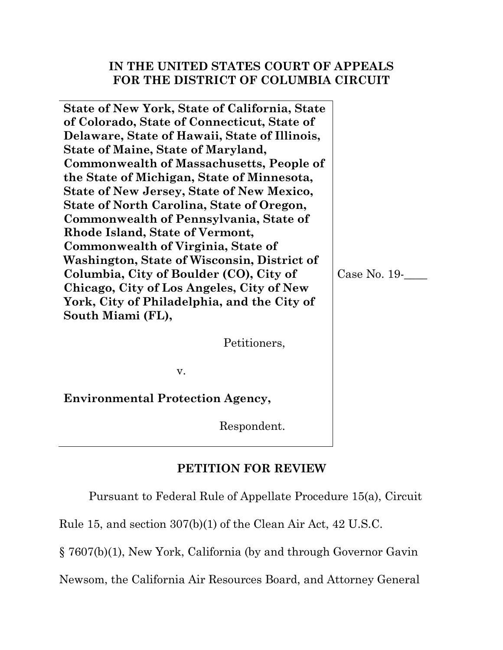## **IN THE UNITED STATES COURT OF APPEALS FOR THE DISTRICT OF COLUMBIA CIRCUIT**

**State of New York, State of California, State of Colorado, State of Connecticut, State of Delaware, State of Hawaii, State of Illinois, State of Maine, State of Maryland, Commonwealth of Massachusetts, People of the State of Michigan, State of Minnesota, State of New Jersey, State of New Mexico, State of North Carolina, State of Oregon, Commonwealth of Pennsylvania, State of Rhode Island, State of Vermont, Commonwealth of Virginia, State of Washington, State of Wisconsin, District of Columbia, City of Boulder (CO), City of Chicago, City of Los Angeles, City of New York, City of Philadelphia, and the City of South Miami (FL),**

Case No. 19-\_\_\_\_

Petitioners,

v.

**Environmental Protection Agency,**

Respondent.

## **PETITION FOR REVIEW**

Pursuant to Federal Rule of Appellate Procedure 15(a), Circuit

Rule 15, and section 307(b)(1) of the Clean Air Act, 42 U.S.C.

§ 7607(b)(1), New York, California (by and through Governor Gavin

Newsom, the California Air Resources Board, and Attorney General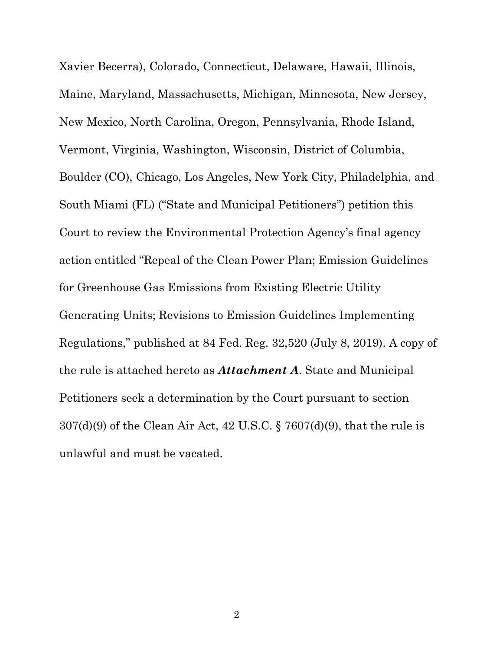Xavier Becerra), Colorado, Connecticut, Delaware, Hawaii, Illinois, Maine, Maryland, Massachusetts, Michigan, Minnesota, New Jersey, New Mexico, North Carolina, Oregon, Pennsylvania, Rhode Island, Vermont, Virginia, Washington, Wisconsin, District of Columbia, Boulder (CO), Chicago, Los Angeles, New York City, Philadelphia, and South Miami (FL) ("State and Municipal Petitioners") petition this Court to review the Environmental Protection Agency's final agency action entitled "Repeal of the Clean Power Plan; Emission Guidelines for Greenhouse Gas Emissions from Existing Electric Utility Generating Units; Revisions to Emission Guidelines Implementing Regulations," published at 84 Fed. Reg. 32,520 (July 8, 2019). A copy of the rule is attached hereto as *Attachment A*. State and Municipal Petitioners seek a determination by the Court pursuant to section 307(d)(9) of the Clean Air Act, 42 U.S.C. § 7607(d)(9), that the rule is unlawful and must be vacated.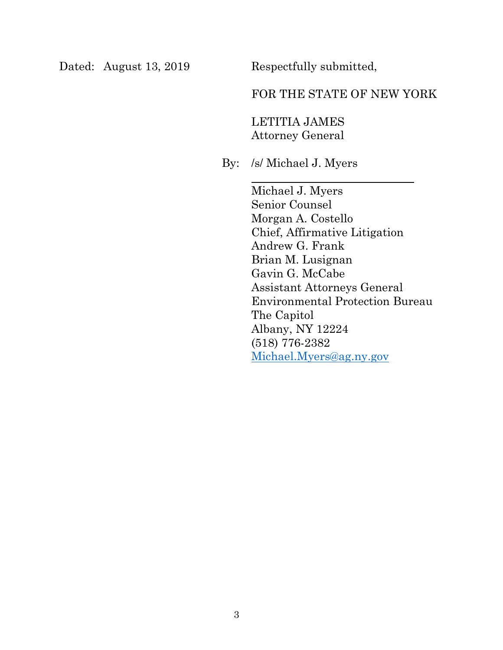Dated: August 13, 2019 Respectfully submitted,

## FOR THE STATE OF NEW YORK

LETITIA JAMES Attorney General

By: /s/ Michael J. Myers

Michael J. Myers Senior Counsel Morgan A. Costello Chief, Affirmative Litigation Andrew G. Frank Brian M. Lusignan Gavin G. McCabe Assistant Attorneys General Environmental Protection Bureau The Capitol Albany, NY 12224 (518) 776-2382 [Michael.Myers@ag.ny.gov](mailto:Michael.Myers@ag.ny.gov)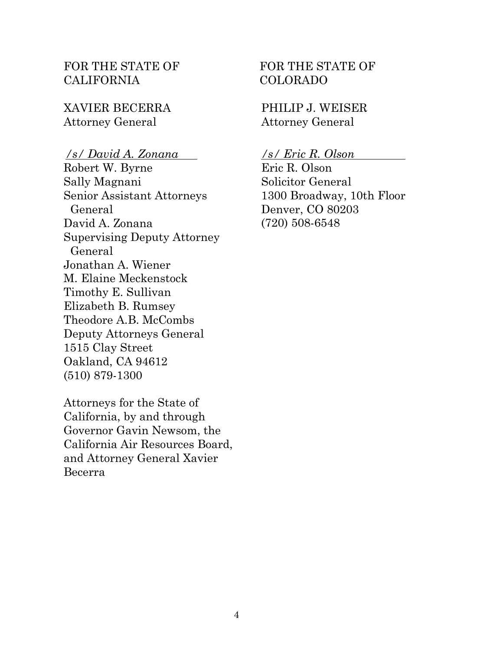## FOR THE STATE OF CALIFORNIA

XAVIER BECERRA Attorney General

## */s/ David A. Zonana*

Robert W. Byrne Sally Magnani Senior Assistant Attorneys General David A. Zonana Supervising Deputy Attorney General Jonathan A. Wiener M. Elaine Meckenstock Timothy E. Sullivan Elizabeth B. Rumsey Theodore A.B. McCombs Deputy Attorneys General 1515 Clay Street Oakland, CA 94612 (510) 879-1300

Attorneys for the State of California, by and through Governor Gavin Newsom, the California Air Resources Board, and Attorney General Xavier Becerra

## FOR THE STATE OF COLORADO

PHILIP J. WEISER Attorney General

*/s/ Eric R. Olson* 

Eric R. Olson Solicitor General 1300 Broadway, 10th Floor Denver, CO 80203 (720) 508-6548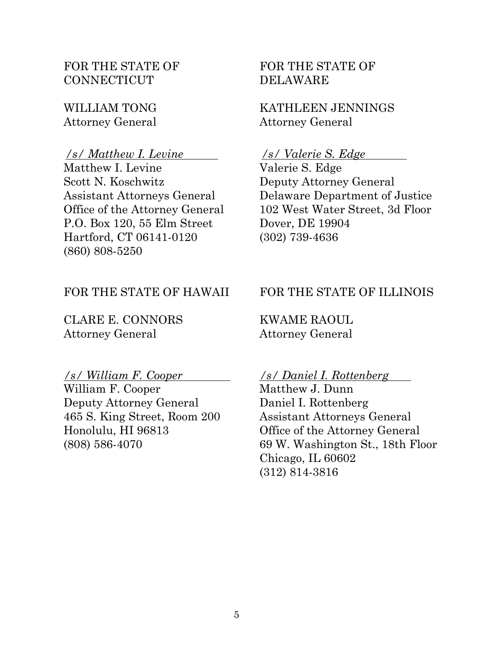FOR THE STATE OF **CONNECTICUT** 

WILLIAM TONG Attorney General

#### */s/ Matthew I. Levine*

Matthew I. Levine Scott N. Koschwitz Assistant Attorneys General Office of the Attorney General P.O. Box 120, 55 Elm Street Hartford, CT 06141-0120 (860) 808-5250

## FOR THE STATE OF HAWAII

CLARE E. CONNORS Attorney General

#### */s/ William F. Cooper*

William F. Cooper Deputy Attorney General 465 S. King Street, Room 200 Honolulu, HI 96813 (808) 586-4070

## FOR THE STATE OF DELAWARE

KATHLEEN JENNINGS Attorney General

#### */s/ Valerie S. Edge*

Valerie S. Edge Deputy Attorney General Delaware Department of Justice 102 West Water Street, 3d Floor Dover, DE 19904 (302) 739-4636

## FOR THE STATE OF ILLINOIS

KWAME RAOUL Attorney General

#### */s/ Daniel I. Rottenberg*

Matthew J. Dunn Daniel I. Rottenberg Assistant Attorneys General Office of the Attorney General 69 W. Washington St., 18th Floor Chicago, IL 60602 (312) 814-3816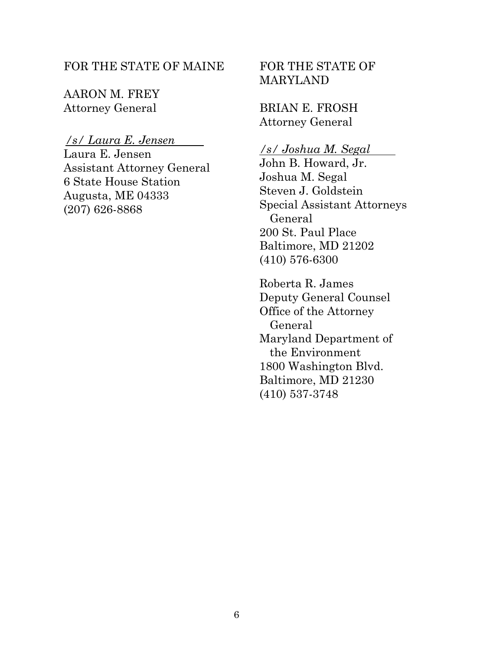## FOR THE STATE OF MAINE

AARON M. FREY Attorney General

#### */s/ Laura E. Jensen*

Laura E. Jensen Assistant Attorney General 6 State House Station Augusta, ME 04333 (207) 626-8868

## FOR THE STATE OF MARYLAND

BRIAN E. FROSH Attorney General

## */s/ Joshua M. Segal*

John B. Howard, Jr. Joshua M. Segal Steven J. Goldstein Special Assistant Attorneys General 200 St. Paul Place Baltimore, MD 21202 (410) 576-6300

Roberta R. James Deputy General Counsel Office of the Attorney General Maryland Department of the Environment 1800 Washington Blvd. Baltimore, MD 21230 (410) 537-3748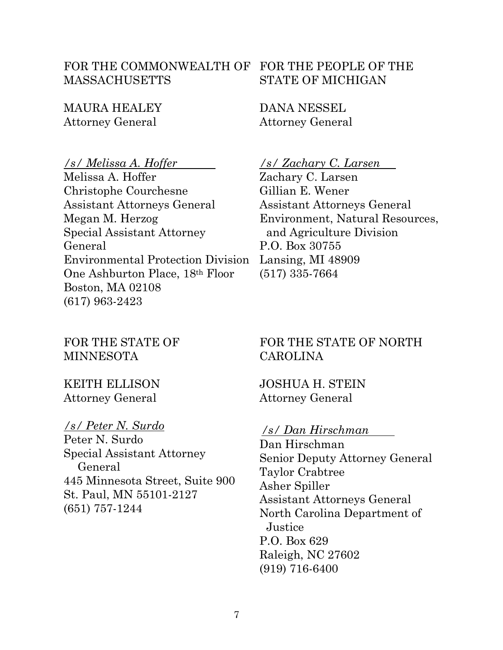## FOR THE COMMONWEALTH OF FOR THE PEOPLE OF THE MASSACHUSETTS

MAURA HEALEY Attorney General

*/s/ Melissa A. Hoffer* 

Melissa A. Hoffer Christophe Courchesne Assistant Attorneys General Megan M. Herzog Special Assistant Attorney General Environmental Protection Division One Ashburton Place, 18th Floor Boston, MA 02108 (617) 963-2423

FOR THE STATE OF MINNESOTA

## KEITH ELLISON Attorney General

## */s/ Peter N. Surdo*

Peter N. Surdo Special Assistant Attorney General 445 Minnesota Street, Suite 900 St. Paul, MN 55101-2127 (651) 757-1244

# STATE OF MICHIGAN

DANA NESSEL Attorney General

*/s/ Zachary C. Larsen* 

Zachary C. Larsen Gillian E. Wener Assistant Attorneys General Environment, Natural Resources, and Agriculture Division P.O. Box 30755 Lansing, MI 48909 (517) 335-7664

## FOR THE STATE OF NORTH CAROLINA

JOSHUA H. STEIN Attorney General

## */s/ Dan Hirschman*

Dan Hirschman Senior Deputy Attorney General Taylor Crabtree Asher Spiller Assistant Attorneys General North Carolina Department of **Justice** P.O. Box 629 Raleigh, NC 27602 (919) 716-6400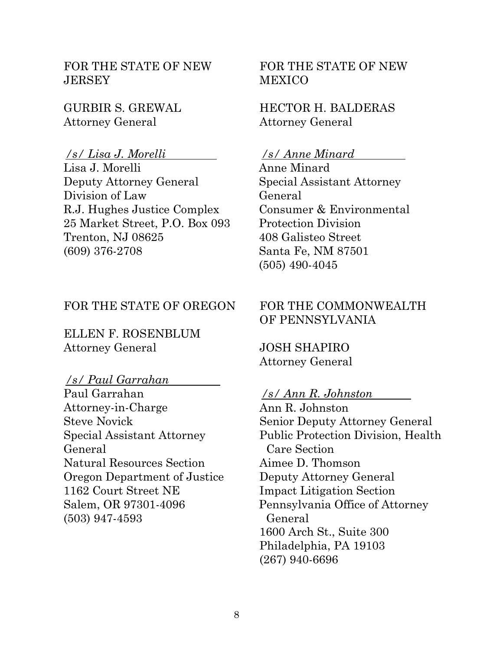FOR THE STATE OF NEW **JERSEY** 

GURBIR S. GREWAL Attorney General

#### */s/ Lisa J. Morelli*

Lisa J. Morelli Deputy Attorney General Division of Law R.J. Hughes Justice Complex 25 Market Street, P.O. Box 093 Trenton, NJ 08625 (609) 376-2708

#### FOR THE STATE OF OREGON

ELLEN F. ROSENBLUM Attorney General

#### */s/ Paul Garrahan*

Paul Garrahan Attorney-in-Charge Steve Novick Special Assistant Attorney General Natural Resources Section Oregon Department of Justice 1162 Court Street NE Salem, OR 97301-4096 (503) 947-4593

FOR THE STATE OF NEW **MEXICO** 

## HECTOR H. BALDERAS Attorney General

#### */s/ Anne Minard*

Anne Minard Special Assistant Attorney General Consumer & Environmental Protection Division 408 Galisteo Street Santa Fe, NM 87501 (505) 490-4045

## FOR THE COMMONWEALTH OF PENNSYLVANIA

JOSH SHAPIRO Attorney General

## */s/ Ann R. Johnston*

Ann R. Johnston Senior Deputy Attorney General Public Protection Division, Health Care Section Aimee D. Thomson Deputy Attorney General Impact Litigation Section Pennsylvania Office of Attorney General 1600 Arch St., Suite 300 Philadelphia, PA 19103 (267) 940-6696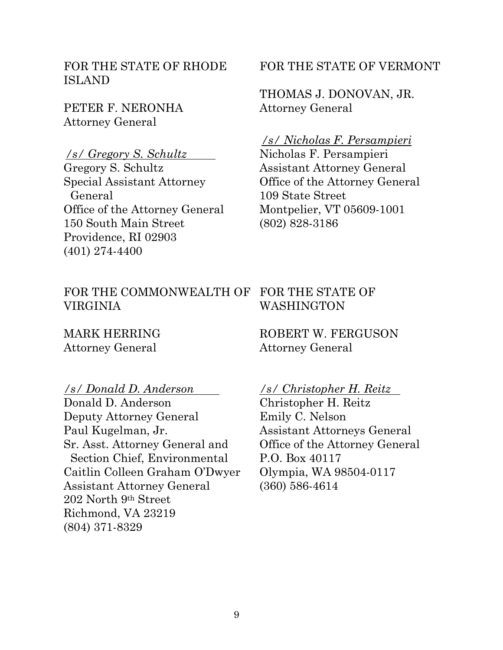FOR THE STATE OF RHODE ISLAND

PETER F. NERONHA Attorney General

*/s/ Gregory S. Schultz*  Gregory S. Schultz Special Assistant Attorney General Office of the Attorney General 150 South Main Street Providence, RI 02903 (401) 274-4400

#### FOR THE STATE OF VERMONT

THOMAS J. DONOVAN, JR. Attorney General

#### */s/ Nicholas F. Persampieri*

Nicholas F. Persampieri Assistant Attorney General Office of the Attorney General 109 State Street Montpelier, VT 05609-1001 (802) 828-3186

#### FOR THE COMMONWEALTH OF FOR THE STATE OF VIRGINIA WASHINGTON

MARK HERRING Attorney General

ROBERT W. FERGUSON Attorney General

*/s/ Donald D. Anderson* 

Donald D. Anderson Deputy Attorney General Paul Kugelman, Jr. Sr. Asst. Attorney General and Section Chief, Environmental Caitlin Colleen Graham O'Dwyer Assistant Attorney General 202 North 9th Street Richmond, VA 23219 (804) 371-8329

*/s/ Christopher H. Reitz* 

Christopher H. Reitz Emily C. Nelson Assistant Attorneys General Office of the Attorney General P.O. Box 40117 Olympia, WA 98504-0117 (360) 586-4614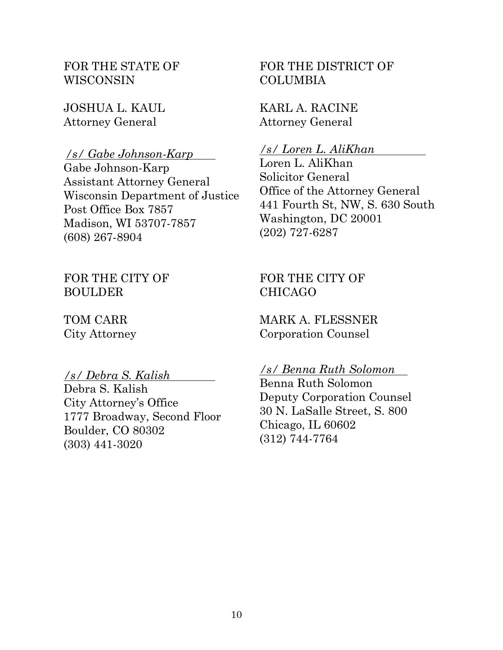FOR THE STATE OF WISCONSIN

JOSHUA L. KAUL Attorney General

*/s/ Gabe Johnson-Karp*  Gabe Johnson-Karp Assistant Attorney General Wisconsin Department of Justice Post Office Box 7857 Madison, WI 53707-7857 (608) 267-8904

FOR THE CITY OF BOULDER

TOM CARR City Attorney

#### */s/ Debra S. Kalish*

Debra S. Kalish City Attorney's Office 1777 Broadway, Second Floor Boulder, CO 80302 (303) 441-3020

FOR THE DISTRICT OF COLUMBIA

KARL A. RACINE Attorney General

#### */s/ Loren L. AliKhan*

Loren L. AliKhan Solicitor General Office of the Attorney General 441 Fourth St, NW, S. 630 South Washington, DC 20001 (202) 727-6287

FOR THE CITY OF CHICAGO

MARK A. FLESSNER Corporation Counsel

*/s/ Benna Ruth Solomon* 

Benna Ruth Solomon Deputy Corporation Counsel 30 N. LaSalle Street, S. 800 Chicago, IL 60602 (312) 744-7764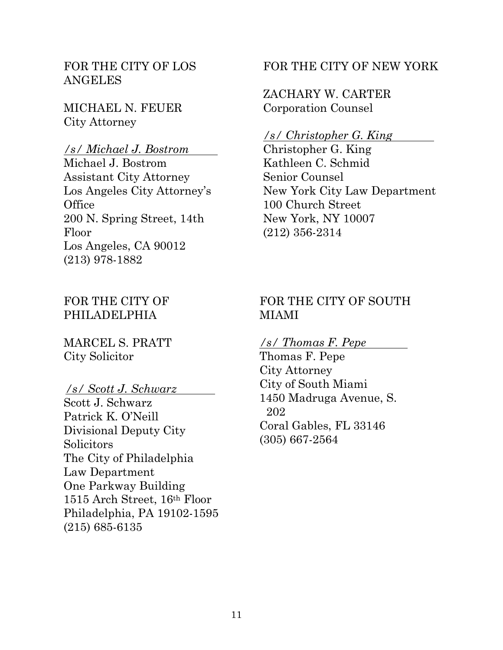## FOR THE CITY OF LOS ANGELES

MICHAEL N. FEUER City Attorney

#### */s/ Michael J. Bostrom*

Michael J. Bostrom Assistant City Attorney Los Angeles City Attorney's **Office** 200 N. Spring Street, 14th Floor Los Angeles, CA 90012 (213) 978-1882

## FOR THE CITY OF PHILADELPHIA

MARCEL S. PRATT City Solicitor

#### */s/ Scott J. Schwarz*

Scott J. Schwarz Patrick K. O'Neill Divisional Deputy City **Solicitors** The City of Philadelphia Law Department One Parkway Building 1515 Arch Street, 16th Floor Philadelphia, PA 19102-1595 (215) 685-6135

## FOR THE CITY OF NEW YORK

## ZACHARY W. CARTER Corporation Counsel

#### */s/ Christopher G. King*

Christopher G. King Kathleen C. Schmid Senior Counsel New York City Law Department 100 Church Street New York, NY 10007 (212) 356-2314

## FOR THE CITY OF SOUTH MIAMI

#### */s/ Thomas F. Pepe*

Thomas F. Pepe City Attorney City of South Miami 1450 Madruga Avenue, S. 202 Coral Gables, FL 33146 (305) 667-2564